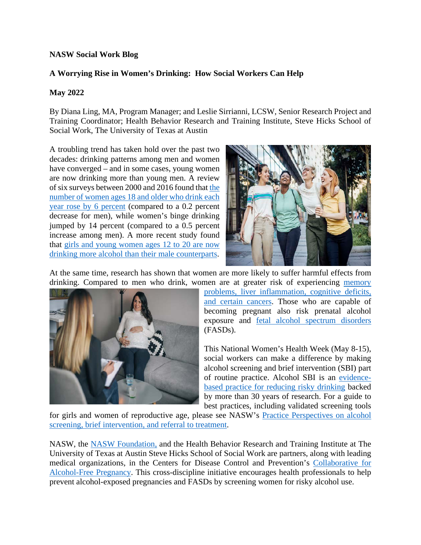## **NASW Social Work Blog**

## **A Worrying Rise in Women's Drinking: How Social Workers Can Help**

## **May 2022**

By Diana Ling, MA, Program Manager; and Leslie Sirrianni, LCSW, Senior Research Project and Training Coordinator; Health Behavior Research and Training Institute, Steve Hicks School of Social Work, The University of Texas at Austin

A troubling trend has taken hold over the past two decades: drinking patterns among men and women have converged – and in some cases, young women are now drinking more than young men. A review of six surveys between 2000 and 2016 found that [the](https://pubmed.ncbi.nlm.nih.gov/30080258/)  [number of women ages 18 and older who drink each](https://pubmed.ncbi.nlm.nih.gov/30080258/)  [year rose by 6 percent](https://pubmed.ncbi.nlm.nih.gov/30080258/) (compared to a 0.2 percent decrease for men), while women's binge drinking jumped by 14 percent (compared to a 0.5 percent increase among men). A more recent study found that [girls and young women ages 12 to 20 are now](https://store.samhsa.gov/sites/default/files/SAMHSA_Digital_Download/PEP22-03-10-010.pdf)  [drinking more alcohol than their male counterparts.](https://store.samhsa.gov/sites/default/files/SAMHSA_Digital_Download/PEP22-03-10-010.pdf)



At the same time, research has shown that women are more likely to suffer harmful effects from drinking. Compared to men who drink, women are at greater risk of experiencing [memory](https://niaaa.scienceblog.com/378/as-male-and-female-drinking-patterns-become-more-similar-adverse-alcohol-risks-for-women-become-more-apparent/) 



[problems, liver inflammation, cognitive deficits,](https://niaaa.scienceblog.com/378/as-male-and-female-drinking-patterns-become-more-similar-adverse-alcohol-risks-for-women-become-more-apparent/)  [and certain cancers.](https://niaaa.scienceblog.com/378/as-male-and-female-drinking-patterns-become-more-similar-adverse-alcohol-risks-for-women-become-more-apparent/) Those who are capable of becoming pregnant also risk prenatal alcohol exposure and [fetal alcohol spectrum disorders](https://www.cdc.gov/ncbddd/fasd/index.html) (FASDs).

This National Women's Health Week (May 8-15), social workers can make a difference by making alcohol screening and brief intervention (SBI) part of routine practice. Alcohol SBI is an [evidence](https://www.cdc.gov/ncbddd/fasd/alcohol-screening.html)[based practice for reducing risky drinking](https://www.cdc.gov/ncbddd/fasd/alcohol-screening.html) backed by more than 30 years of research. For a guide to best practices, including validated screening tools

for girls and women of reproductive age, please see NASW's [Practice Perspectives on alcohol](https://www.socialworkers.org/LinkClick.aspx?fileticket=mXPYgpIQBkg%3d&portalid=0)  [screening, brief intervention, and referral to treatment.](https://www.socialworkers.org/LinkClick.aspx?fileticket=mXPYgpIQBkg%3d&portalid=0)

NASW, the [NASW Foundation,](https://www.naswfoundation.org/Our-Work/Special-Projects/Fetal-Alcohol-Spectrum-Disorders) and the Health Behavior Research and Training Institute at The University of Texas at Austin Steve Hicks School of Social Work are partners, along with leading medical organizations, in the Centers for Disease Control and Prevention's [Collaborative for](http://www.cdc.gov/fasdtraining)  [Alcohol-Free Pregnancy.](http://www.cdc.gov/fasdtraining) This cross-discipline initiative encourages health professionals to help prevent alcohol-exposed pregnancies and FASDs by screening women for risky alcohol use.